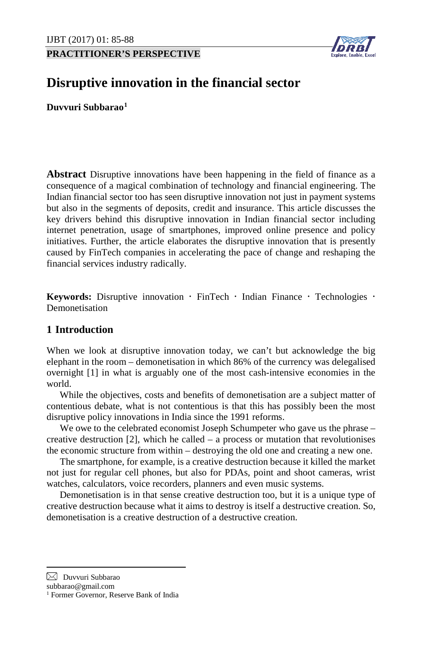**PRACTITIONER'S PERSPECTIVE**



# **Disruptive innovation in the financial sector**

**Duvvuri Subbarao[1](#page-0-0)**

**Abstract** Disruptive innovations have been happening in the field of finance as a consequence of a magical combination of technology and financial engineering. The Indian financial sector too has seen disruptive innovation not just in payment systems but also in the segments of deposits, credit and insurance. This article discusses the key drivers behind this disruptive innovation in Indian financial sector including internet penetration, usage of smartphones, improved online presence and policy initiatives. Further, the article elaborates the disruptive innovation that is presently caused by FinTech companies in accelerating the pace of change and reshaping the financial services industry radically.

**Keywords:** Disruptive innovation  $\cdot$  FinTech  $\cdot$  Indian Finance  $\cdot$  Technologies  $\cdot$ Demonetisation

# **1 Introduction**

When we look at disruptive innovation today, we can't but acknowledge the big elephant in the room – demonetisation in which 86% of the currency was delegalised overnight [1] in what is arguably one of the most cash-intensive economies in the world.

While the objectives, costs and benefits of demonetisation are a subject matter of contentious debate, what is not contentious is that this has possibly been the most disruptive policy innovations in India since the 1991 reforms.

We owe to the celebrated economist Joseph Schumpeter who gave us the phrase – creative destruction [2], which he called – a process or mutation that revolutionises the economic structure from within – destroying the old one and creating a new one.

The smartphone, for example, is a creative destruction because it killed the market not just for regular cell phones, but also for PDAs, point and shoot cameras, wrist watches, calculators, voice recorders, planners and even music systems.

Demonetisation is in that sense creative destruction too, but it is a unique type of creative destruction because what it aims to destroy is itself a destructive creation. So, demonetisation is a creative destruction of a destructive creation.

<span id="page-0-0"></span> $\boxtimes$  Duvvuri Subbarao

subbarao@gmail.com

<sup>&</sup>lt;sup>1</sup> Former Governor, Reserve Bank of India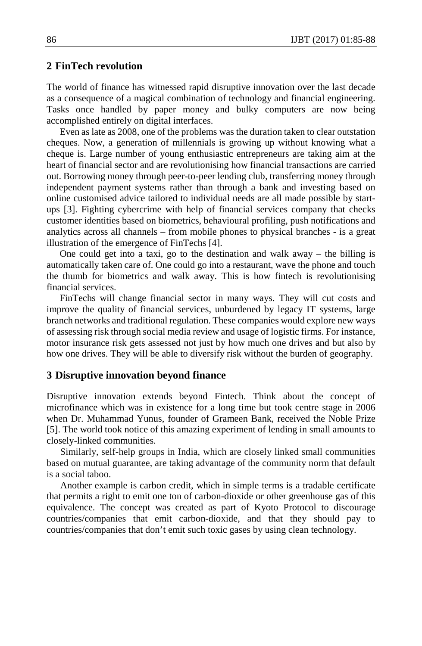#### **2 FinTech revolution**

The world of finance has witnessed rapid disruptive innovation over the last decade as a consequence of a magical combination of technology and financial engineering. Tasks once handled by paper money and bulky computers are now being accomplished entirely on digital interfaces.

Even as late as 2008, one of the problems was the duration taken to clear outstation cheques. Now, a generation of millennials is growing up without knowing what a cheque is. Large number of young enthusiastic entrepreneurs are taking aim at the heart of financial sector and are revolutionising how financial transactions are carried out. Borrowing money through peer-to-peer lending club, transferring money through independent payment systems rather than through a bank and investing based on online customised advice tailored to individual needs are all made possible by startups [3]. Fighting cybercrime with help of financial services company that checks customer identities based on biometrics, behavioural profiling, push notifications and analytics across all channels – from mobile phones to physical branches - is a great illustration of the emergence of FinTechs [4].

One could get into a taxi, go to the destination and walk away – the billing is automatically taken care of. One could go into a restaurant, wave the phone and touch the thumb for biometrics and walk away. This is how fintech is revolutionising financial services.

FinTechs will change financial sector in many ways. They will cut costs and improve the quality of financial services, unburdened by legacy IT systems, large branch networks and traditional regulation. These companies would explore new ways of assessing risk through social media review and usage of logistic firms. For instance, motor insurance risk gets assessed not just by how much one drives and but also by how one drives. They will be able to diversify risk without the burden of geography.

#### **3 Disruptive innovation beyond finance**

Disruptive innovation extends beyond Fintech. Think about the concept of microfinance which was in existence for a long time but took centre stage in 2006 when Dr. Muhammad Yunus, founder of Grameen Bank, received the Noble Prize [5]. The world took notice of this amazing experiment of lending in small amounts to closely-linked communities.

Similarly, self-help groups in India, which are closely linked small communities based on mutual guarantee, are taking advantage of the community norm that default is a social taboo.

Another example is carbon credit, which in simple terms is a tradable certificate that permits a right to emit one ton of carbon-dioxide or other greenhouse gas of this equivalence. The concept was created as part of Kyoto Protocol to discourage countries/companies that emit carbon-dioxide, and that they should pay to countries/companies that don't emit such toxic gases by using clean technology.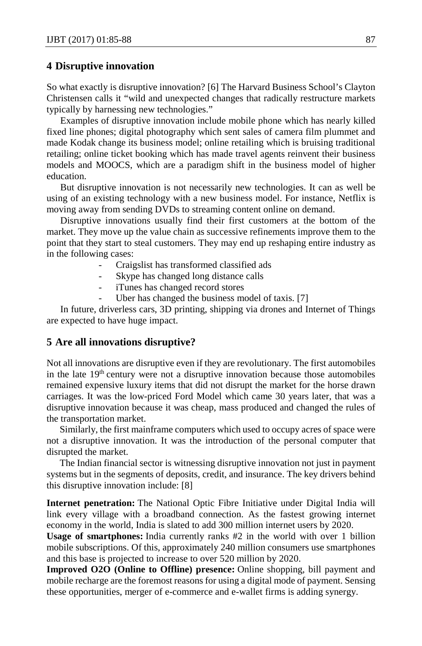#### **4 Disruptive innovation**

So what exactly is disruptive innovation? [6] The Harvard Business School's Clayton Christensen calls it "wild and unexpected changes that radically restructure markets typically by harnessing new technologies."

Examples of disruptive innovation include mobile phone which has nearly killed fixed line phones; digital photography which sent sales of camera film plummet and made Kodak change its business model; online retailing which is bruising traditional retailing; online ticket booking which has made travel agents reinvent their business models and MOOCS, which are a paradigm shift in the business model of higher education.

But disruptive innovation is not necessarily new technologies. It can as well be using of an existing technology with a new business model. For instance, Netflix is moving away from sending DVDs to streaming content online on demand.

Disruptive innovations usually find their first customers at the bottom of the market. They move up the value chain as successive refinements improve them to the point that they start to steal customers. They may end up reshaping entire industry as in the following cases:

- Craigslist has transformed classified ads
- Skype has changed long distance calls
- iTunes has changed record stores
- Uber has changed the business model of taxis. [7]

In future, driverless cars, 3D printing, shipping via drones and Internet of Things are expected to have huge impact.

#### **5 Are all innovations disruptive?**

Not all innovations are disruptive even if they are revolutionary. The first automobiles in the late  $19<sup>th</sup>$  century were not a disruptive innovation because those automobiles remained expensive luxury items that did not disrupt the market for the horse drawn carriages. It was the low-priced Ford Model which came 30 years later, that was a disruptive innovation because it was cheap, mass produced and changed the rules of the transportation market.

Similarly, the first mainframe computers which used to occupy acres of space were not a disruptive innovation. It was the introduction of the personal computer that disrupted the market.

The Indian financial sector is witnessing disruptive innovation not just in payment systems but in the segments of deposits, credit, and insurance. The key drivers behind this disruptive innovation include: [8]

**Internet penetration:** The National Optic Fibre Initiative under Digital India will link every village with a broadband connection. As the fastest growing internet economy in the world, India is slated to add 300 million internet users by 2020.

**Usage of smartphones:** India currently ranks #2 in the world with over 1 billion mobile subscriptions. Of this, approximately 240 million consumers use smartphones and this base is projected to increase to over 520 million by 2020.

**Improved O2O (Online to Offline) presence:** Online shopping, bill payment and mobile recharge are the foremost reasons for using a digital mode of payment. Sensing these opportunities, merger of e-commerce and e-wallet firms is adding synergy.